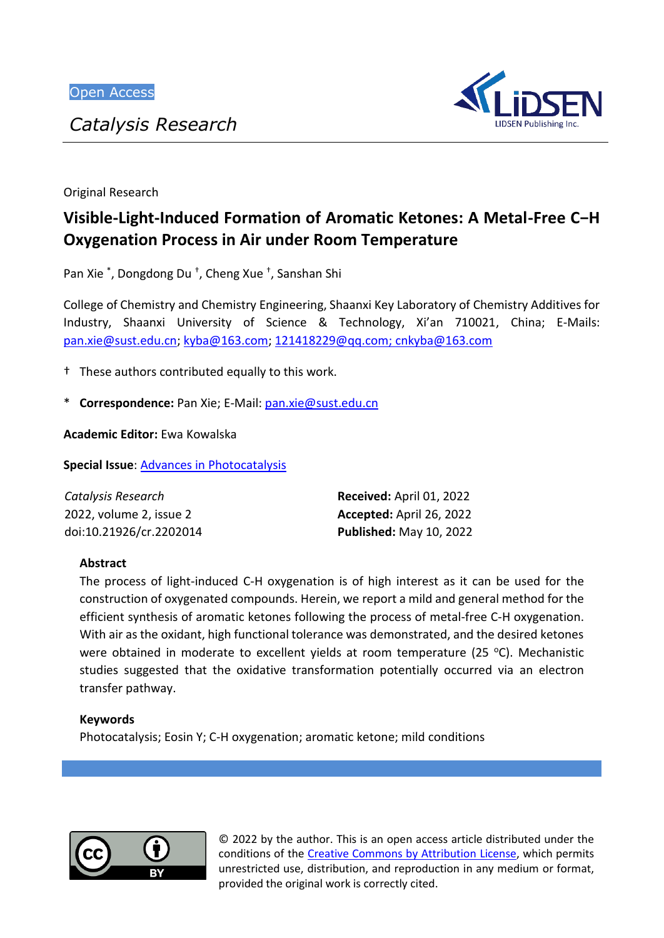*Catalysis Research*



Original Research

# **Visible-Light-Induced Formation of Aromatic Ketones: A Metal-Free C−H Oxygenation Process in Air under Room Temperature**

Pan Xie \* , Dongdong Du † , Cheng Xue † , Sanshan Shi

College of Chemistry and Chemistry Engineering, Shaanxi Key Laboratory of Chemistry Additives for Industry, Shaanxi University of Science & Technology, Xi'an 710021, China; E-Mails: [pan.xie@sust.edu.cn;](mailto:pan.xie@sust.edu.cn) [kyba@163.com;](mailto:kyba@163.com) [121418229@qq.com;](mailto:121418229@qq.com) cnkyba@163.com

† These authors contributed equally to this work.

\* **Correspondence:** Pan Xie; E-Mail[: pan.xie@sust.edu.cn](mailto:pan.xie@sust.edu.cn)

**Academic Editor:** Ewa Kowalska

**Special Issue**: [Advances in Photocatalysis](https://lidsen.com/journals/cr/cr-special-issues/adv-in-photocatal)

| Catalysis Research      | Received: April 01, 2022        |
|-------------------------|---------------------------------|
| 2022, volume 2, issue 2 | <b>Accepted:</b> April 26, 2022 |
| doi:10.21926/cr.2202014 | <b>Published: May 10, 2022</b>  |

#### **Abstract**

The process of light-induced C-H oxygenation is of high interest as it can be used for the construction of oxygenated compounds. Herein, we report a mild and general method for the efficient synthesis of aromatic ketones following the process of metal-free C-H oxygenation. With air as the oxidant, high functional tolerance was demonstrated, and the desired ketones were obtained in moderate to excellent yields at room temperature (25 °C). Mechanistic studies suggested that the oxidative transformation potentially occurred via an electron transfer pathway.

#### **Keywords**

Photocatalysis; Eosin Y; C-H oxygenation; aromatic ketone; mild conditions



© 2022 by the author. This is an open access article distributed under the conditions of the [Creative Commons by Attribution License,](http://creativecommons.org/licenses/by/4.0/) which permits unrestricted use, distribution, and reproduction in any medium or format, provided the original work is correctly cited.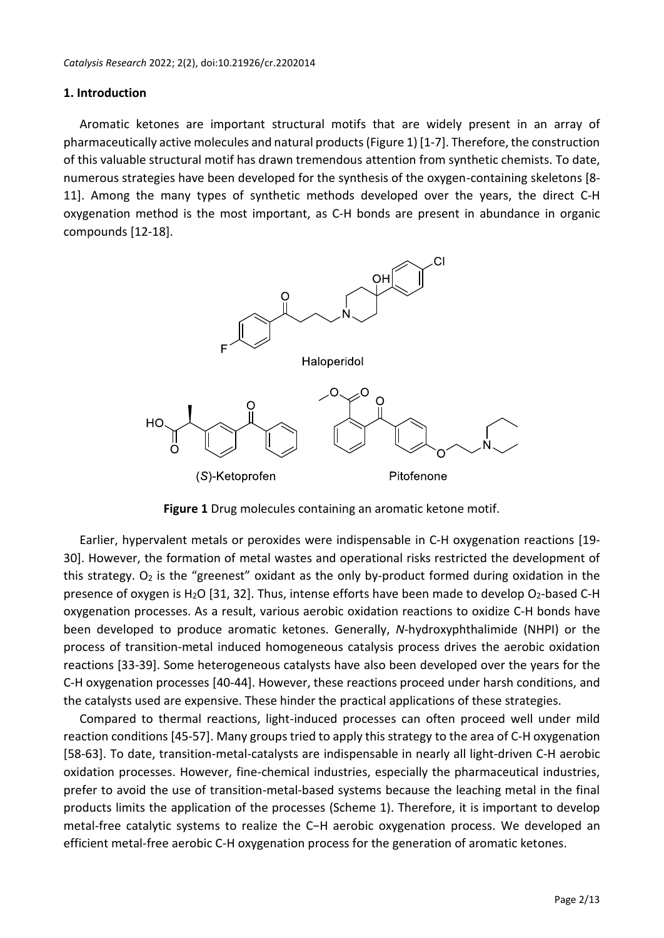#### **1. Introduction**

Aromatic ketones are important structural motifs that are widely present in an array of pharmaceutically active molecules and natural products (Figure 1) [1-7]. Therefore, the construction of this valuable structural motif has drawn tremendous attention from synthetic chemists. To date, numerous strategies have been developed for the synthesis of the oxygen-containing skeletons [8- 11]. Among the many types of synthetic methods developed over the years, the direct C-H oxygenation method is the most important, as C-H bonds are present in abundance in organic compounds [12-18].



**Figure 1** Drug molecules containing an aromatic ketone motif.

Earlier, hypervalent metals or peroxides were indispensable in C-H oxygenation reactions [19- 30]. However, the formation of metal wastes and operational risks restricted the development of this strategy.  $O_2$  is the "greenest" oxidant as the only by-product formed during oxidation in the presence of oxygen is H<sub>2</sub>O [31, 32]. Thus, intense efforts have been made to develop O<sub>2</sub>-based C-H oxygenation processes. As a result, various aerobic oxidation reactions to oxidize C-H bonds have been developed to produce aromatic ketones. Generally, *N*-hydroxyphthalimide (NHPI) or the process of transition-metal induced homogeneous catalysis process drives the aerobic oxidation reactions [33-39]. Some heterogeneous catalysts have also been developed over the years for the C-H oxygenation processes [40-44]. However, these reactions proceed under harsh conditions, and the catalysts used are expensive. These hinder the practical applications of these strategies.

Compared to thermal reactions, light-induced processes can often proceed well under mild reaction conditions [45-57]. Many groups tried to apply this strategy to the area of C-H oxygenation [58-63]. To date, transition-metal-catalysts are indispensable in nearly all light-driven C-H aerobic oxidation processes. However, fine-chemical industries, especially the pharmaceutical industries, prefer to avoid the use of transition-metal-based systems because the leaching metal in the final products limits the application of the processes (Scheme 1). Therefore, it is important to develop metal-free catalytic systems to realize the C−H aerobic oxygenation process. We developed an efficient metal-free aerobic C-H oxygenation process for the generation of aromatic ketones.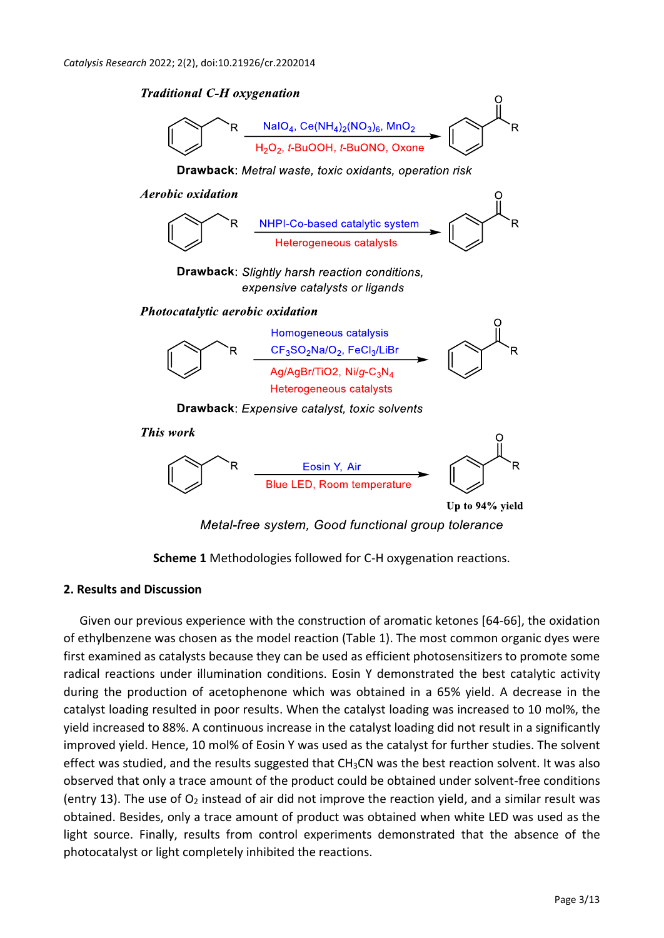**Traditional C-H oxygenation**  $NalO<sub>4</sub>$ , Ce(NH<sub>4</sub>)<sub>2</sub>(NO<sub>3</sub>)<sub>6</sub>, MnO<sub>2</sub><br>H<sub>2</sub>O<sub>2</sub>, t-BuOOH, t-BuONO, Oxone Drawback: Metral waste, toxic oxidants, operation risk **Aerobic oxidation** NHPI-Co-based catalytic system Heterogeneous catalysts **Drawback:** Slightly harsh reaction conditions, expensive catalysts or ligands Photocatalytic aerobic oxidation Homogeneous catalysis CF<sub>3</sub>SO<sub>2</sub>Na/O<sub>2</sub>, FeCl<sub>3</sub>/LiBr Ag/AgBr/TiO2, Ni/g-C<sub>3</sub>N<sub>4</sub> Heterogeneous catalysts **Drawback:** Expensive catalyst, toxic solvents This work R Blue LED, Room temperature Up to 94% yield Metal-free system, Good functional group tolerance



## **2. Results and Discussion**

Given our previous experience with the construction of aromatic ketones [64-66], the oxidation of ethylbenzene was chosen as the model reaction (Table 1). The most common organic dyes were first examined as catalysts because they can be used as efficient photosensitizers to promote some radical reactions under illumination conditions. Eosin Y demonstrated the best catalytic activity during the production of acetophenone which was obtained in a 65% yield. A decrease in the catalyst loading resulted in poor results. When the catalyst loading was increased to 10 mol%, the yield increased to 88%. A continuous increase in the catalyst loading did not result in a significantly improved yield. Hence, 10 mol% of Eosin Y was used as the catalyst for further studies. The solvent effect was studied, and the results suggested that  $CH<sub>3</sub>CN$  was the best reaction solvent. It was also observed that only a trace amount of the product could be obtained under solvent-free conditions (entry 13). The use of  $O_2$  instead of air did not improve the reaction yield, and a similar result was obtained. Besides, only a trace amount of product was obtained when white LED was used as the light source. Finally, results from control experiments demonstrated that the absence of the photocatalyst or light completely inhibited the reactions.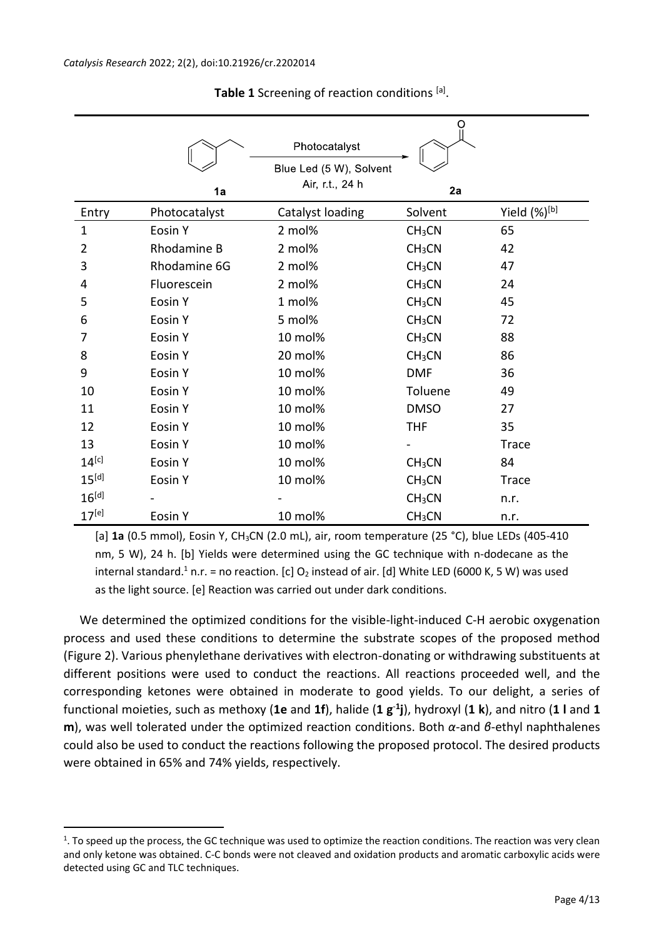|                |               | Photocatalyst                              | O                            |              |
|----------------|---------------|--------------------------------------------|------------------------------|--------------|
|                | 1a            | Blue Led (5 W), Solvent<br>Air, r.t., 24 h | 2a                           |              |
| Entry          | Photocatalyst | Catalyst loading                           | Solvent                      | Yield (%)[b] |
| $\mathbf{1}$   | Eosin Y       | 2 mol%                                     | CH <sub>3</sub> CN           | 65           |
| $\overline{2}$ | Rhodamine B   | 2 mol%                                     | CH <sub>3</sub> CN           | 42           |
| 3              | Rhodamine 6G  | 2 mol%                                     | CH <sub>3</sub> CN           | 47           |
| 4              | Fluorescein   | 2 mol%                                     | CH <sub>3</sub> CN           | 24           |
| 5              | Eosin Y       | 1 mol%                                     | CH <sub>3</sub> CN           | 45           |
| 6              | Eosin Y       | 5 mol%                                     | CH <sub>3</sub> CN           | 72           |
| 7              | Eosin Y       | 10 mol%                                    | CH <sub>3</sub> CN           | 88           |
| 8              | Eosin Y       | 20 mol%                                    | CH <sub>3</sub> CN           | 86           |
| 9              | Eosin Y       | 10 mol%                                    | <b>DMF</b>                   | 36           |
| 10             | Eosin Y       | 10 mol%                                    | Toluene                      | 49           |
| 11             | Eosin Y       | 10 mol%                                    | <b>DMSO</b>                  | 27           |
| 12             | Eosin Y       | 10 mol%                                    | <b>THF</b>                   | 35           |
| 13             | Eosin Y       | 10 mol%                                    | $\qquad \qquad \blacksquare$ | <b>Trace</b> |
| $14^{[c]}$     | Eosin Y       | 10 mol%                                    | CH <sub>3</sub> CN           | 84           |
| $15^{[d]}$     | Eosin Y       | 10 mol%                                    | CH <sub>3</sub> CN           | <b>Trace</b> |
| $16^{[d]}$     |               |                                            | CH <sub>3</sub> CN           | n.r.         |
| $17^{[e]}$     | Eosin Y       | 10 mol%                                    | CH <sub>3</sub> CN           | n.r.         |

**Table 1** Screening of reaction conditions [a].

[a] **1a** (0.5 mmol), Eosin Y, CH3CN (2.0 mL), air, room temperature (25 °C), blue LEDs (405-410 nm, 5 W), 24 h. [b] Yields were determined using the GC technique with n-dodecane as the internal standard.<sup>1</sup> n.r. = no reaction. [c]  $O_2$  instead of air. [d] White LED (6000 K, 5 W) was used as the light source. [e] Reaction was carried out under dark conditions.

We determined the optimized conditions for the visible-light-induced C-H aerobic oxygenation process and used these conditions to determine the substrate scopes of the proposed method (Figure 2). Various phenylethane derivatives with electron-donating or withdrawing substituents at different positions were used to conduct the reactions. All reactions proceeded well, and the corresponding ketones were obtained in moderate to good yields. To our delight, a series of functional moieties, such as methoxy (**1e** and **1f**), halide (**1 g**-**<sup>1</sup> j**), hydroxyl (**1 k**), and nitro (**1 l** and **1 m**), was well tolerated under the optimized reaction conditions. Both *α*-and *β*-ethyl naphthalenes could also be used to conduct the reactions following the proposed protocol. The desired products were obtained in 65% and 74% yields, respectively.

<u>.</u>

<sup>1</sup> . To speed up the process, the GC technique was used to optimize the reaction conditions. The reaction was very clean and only ketone was obtained. C-C bonds were not cleaved and oxidation products and aromatic carboxylic acids were detected using GC and TLC techniques.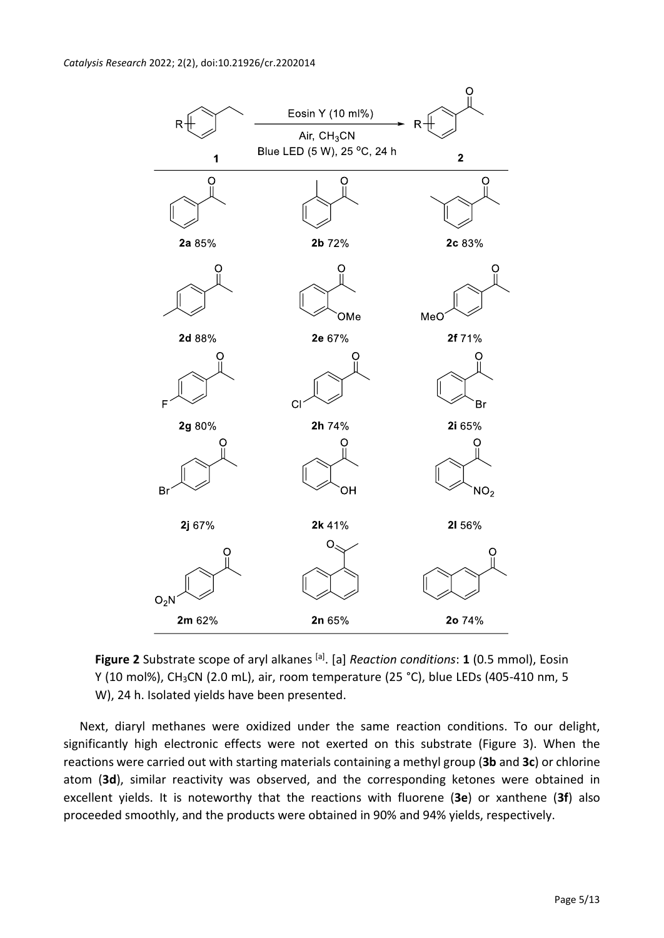

Figure 2 Substrate scope of aryl alkanes <sup>[a]</sup>. [a] *Reaction conditions*: 1 (0.5 mmol), Eosin Y (10 mol%), CH<sub>3</sub>CN (2.0 mL), air, room temperature (25 °C), blue LEDs (405-410 nm, 5 W), 24 h. Isolated yields have been presented.

Next, diaryl methanes were oxidized under the same reaction conditions. To our delight, significantly high electronic effects were not exerted on this substrate (Figure 3). When the reactions were carried out with starting materials containing a methyl group (**3b** and **3c**) or chlorine atom (**3d**), similar reactivity was observed, and the corresponding ketones were obtained in excellent yields. It is noteworthy that the reactions with fluorene (**3e**) or xanthene (**3f**) also proceeded smoothly, and the products were obtained in 90% and 94% yields, respectively.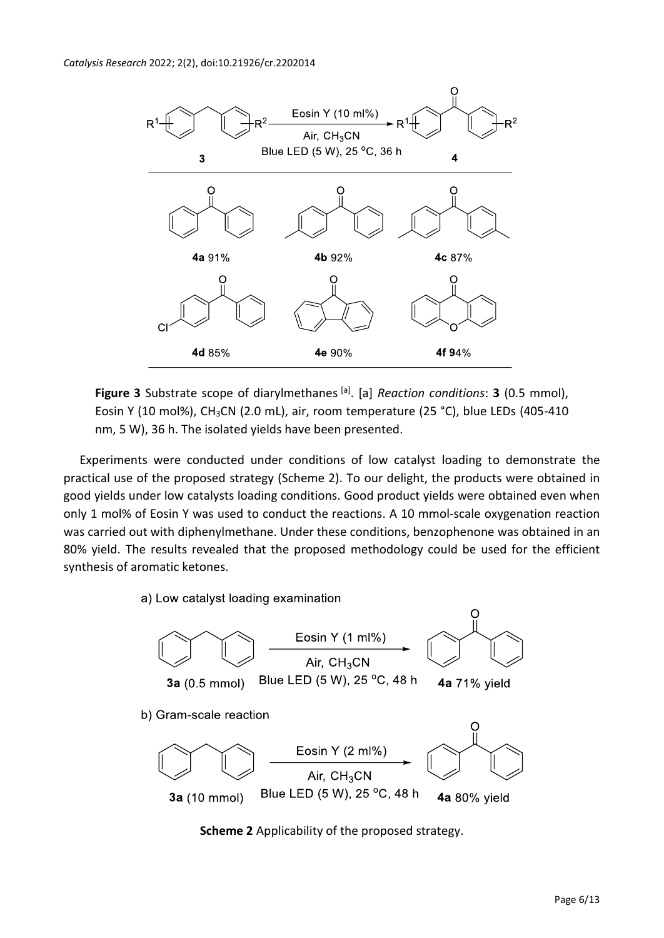

Figure 3 Substrate scope of diarylmethanes <sup>[a]</sup>. [a] *Reaction conditions*: 3 (0.5 mmol), Eosin Y (10 mol%), CH3CN (2.0 mL), air, room temperature (25 °C), blue LEDs (405-410 nm, 5 W), 36 h. The isolated yields have been presented.

Experiments were conducted under conditions of low catalyst loading to demonstrate the practical use of the proposed strategy (Scheme 2). To our delight, the products were obtained in good yields under low catalysts loading conditions. Good product yields were obtained even when only 1 mol% of Eosin Y was used to conduct the reactions. A 10 mmol-scale oxygenation reaction was carried out with diphenylmethane. Under these conditions, benzophenone was obtained in an 80% yield. The results revealed that the proposed methodology could be used for the efficient synthesis of aromatic ketones.

a) Low catalyst loading examination



**Scheme 2** Applicability of the proposed strategy.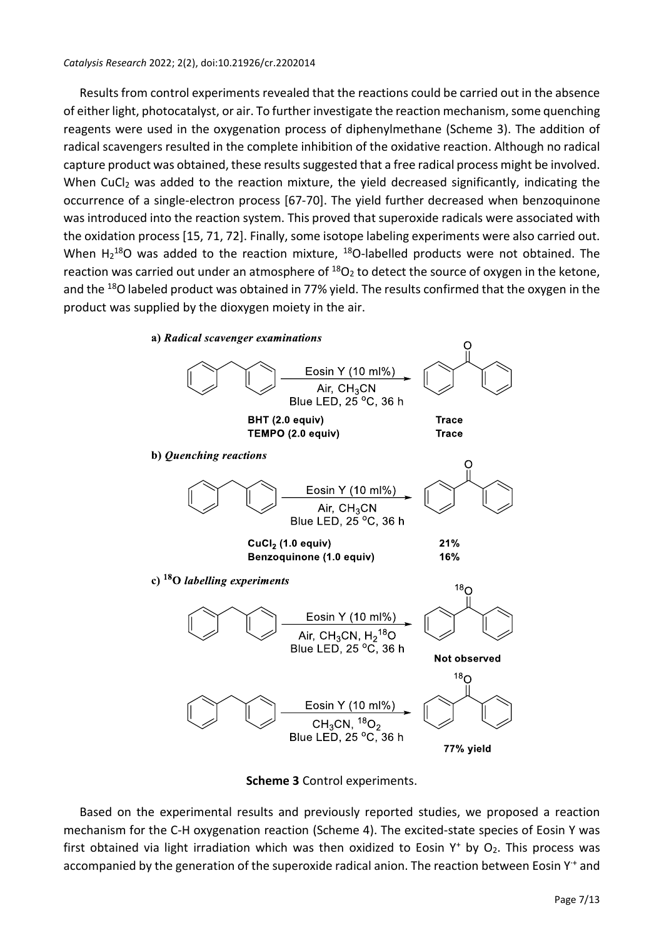Results from control experiments revealed that the reactions could be carried out in the absence of either light, photocatalyst, or air. To further investigate the reaction mechanism, some quenching reagents were used in the oxygenation process of diphenylmethane (Scheme 3). The addition of radical scavengers resulted in the complete inhibition of the oxidative reaction. Although no radical capture product was obtained, these results suggested that a free radical process might be involved. When CuCl<sub>2</sub> was added to the reaction mixture, the yield decreased significantly, indicating the occurrence of a single-electron process [67-70]. The yield further decreased when benzoquinone was introduced into the reaction system. This proved that superoxide radicals were associated with the oxidation process [15, 71, 72]. Finally, some isotope labeling experiments were also carried out. When  $H_2^{18}O$  was added to the reaction mixture,  $^{18}O$ -labelled products were not obtained. The reaction was carried out under an atmosphere of  $^{18}O<sub>2</sub>$  to detect the source of oxygen in the ketone, and the <sup>18</sup>O labeled product was obtained in 77% yield. The results confirmed that the oxygen in the product was supplied by the dioxygen moiety in the air.



**Scheme 3** Control experiments.

Based on the experimental results and previously reported studies, we proposed a reaction mechanism for the C-H oxygenation reaction (Scheme 4). The excited-state species of Eosin Y was first obtained via light irradiation which was then oxidized to Eosin  $Y^+$  by  $O_2$ . This process was accompanied by the generation of the superoxide radical anion. The reaction between Eosin Y<sup>+</sup> and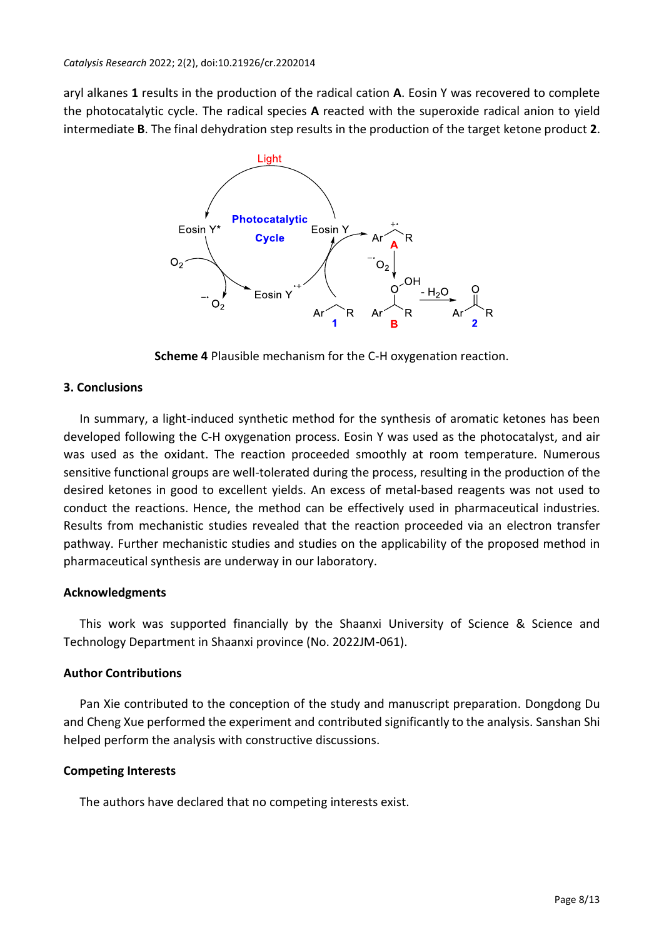aryl alkanes **1** results in the production of the radical cation **A**. Eosin Y was recovered to complete the photocatalytic cycle. The radical species **A** reacted with the superoxide radical anion to yield intermediate **B**. The final dehydration step results in the production of the target ketone product **2**.



**Scheme 4** Plausible mechanism for the C-H oxygenation reaction.

### **3. Conclusions**

In summary, a light-induced synthetic method for the synthesis of aromatic ketones has been developed following the C-H oxygenation process. Eosin Y was used as the photocatalyst, and air was used as the oxidant. The reaction proceeded smoothly at room temperature. Numerous sensitive functional groups are well-tolerated during the process, resulting in the production of the desired ketones in good to excellent yields. An excess of metal-based reagents was not used to conduct the reactions. Hence, the method can be effectively used in pharmaceutical industries. Results from mechanistic studies revealed that the reaction proceeded via an electron transfer pathway. Further mechanistic studies and studies on the applicability of the proposed method in pharmaceutical synthesis are underway in our laboratory.

#### **Acknowledgments**

This work was supported financially by the Shaanxi University of Science & Science and Technology Department in Shaanxi province (No. 2022JM-061).

#### **Author Contributions**

Pan Xie contributed to the conception of the study and manuscript preparation. Dongdong Du and Cheng Xue performed the experiment and contributed significantly to the analysis. Sanshan Shi helped perform the analysis with constructive discussions.

#### **Competing Interests**

The authors have declared that no competing interests exist.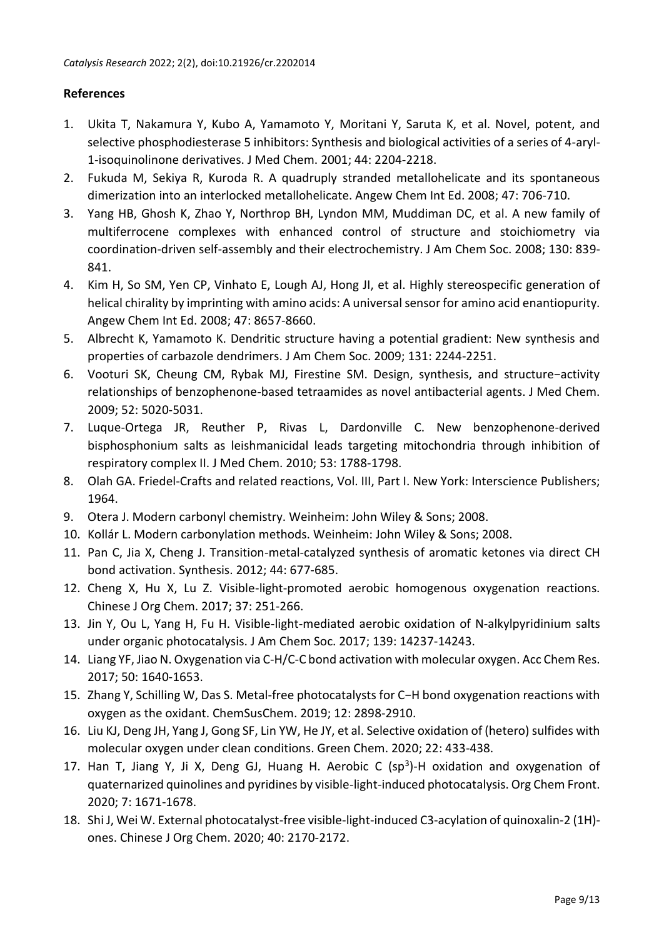#### **References**

- 1. Ukita T, Nakamura Y, Kubo A, Yamamoto Y, Moritani Y, Saruta K, et al. Novel, potent, and selective phosphodiesterase 5 inhibitors: Synthesis and biological activities of a series of 4-aryl-1-isoquinolinone derivatives. J Med Chem. 2001; 44: 2204-2218.
- 2. Fukuda M, Sekiya R, Kuroda R. A quadruply stranded metallohelicate and its spontaneous dimerization into an interlocked metallohelicate. Angew Chem Int Ed. 2008; 47: 706-710.
- 3. Yang HB, Ghosh K, Zhao Y, Northrop BH, Lyndon MM, Muddiman DC, et al. A new family of multiferrocene complexes with enhanced control of structure and stoichiometry via coordination-driven self-assembly and their electrochemistry. J Am Chem Soc. 2008; 130: 839- 841.
- 4. Kim H, So SM, Yen CP, Vinhato E, Lough AJ, Hong JI, et al. Highly stereospecific generation of helical chirality by imprinting with amino acids: A universal sensor for amino acid enantiopurity. Angew Chem Int Ed. 2008; 47: 8657-8660.
- 5. Albrecht K, Yamamoto K. Dendritic structure having a potential gradient: New synthesis and properties of carbazole dendrimers. J Am Chem Soc. 2009; 131: 2244-2251.
- 6. Vooturi SK, Cheung CM, Rybak MJ, Firestine SM. Design, synthesis, and structure−activity relationships of benzophenone-based tetraamides as novel antibacterial agents. J Med Chem. 2009; 52: 5020-5031.
- 7. Luque-Ortega JR, Reuther P, Rivas L, Dardonville C. New benzophenone-derived bisphosphonium salts as leishmanicidal leads targeting mitochondria through inhibition of respiratory complex II. J Med Chem. 2010; 53: 1788-1798.
- 8. Olah GA. Friedel-Crafts and related reactions, Vol. III, Part I. New York: Interscience Publishers; 1964.
- 9. Otera J. Modern carbonyl chemistry. Weinheim: John Wiley & Sons; 2008.
- 10. Kollár L. Modern carbonylation methods. Weinheim: John Wiley & Sons; 2008.
- 11. Pan C, Jia X, Cheng J. Transition-metal-catalyzed synthesis of aromatic ketones via direct CH bond activation. Synthesis. 2012; 44: 677-685.
- 12. Cheng X, Hu X, Lu Z. Visible-light-promoted aerobic homogenous oxygenation reactions. Chinese J Org Chem. 2017; 37: 251-266.
- 13. Jin Y, Ou L, Yang H, Fu H. Visible-light-mediated aerobic oxidation of N-alkylpyridinium salts under organic photocatalysis. J Am Chem Soc. 2017; 139: 14237-14243.
- 14. Liang YF, Jiao N. Oxygenation via C-H/C-C bond activation with molecular oxygen. Acc Chem Res. 2017; 50: 1640-1653.
- 15. Zhang Y, Schilling W, Das S. Metal-free photocatalysts for C−H bond oxygenation reactions with oxygen as the oxidant. ChemSusChem. 2019; 12: 2898-2910.
- 16. Liu KJ, Deng JH, Yang J, Gong SF, Lin YW, He JY, et al. Selective oxidation of (hetero) sulfides with molecular oxygen under clean conditions. Green Chem. 2020; 22: 433-438.
- 17. Han T, Jiang Y, Ji X, Deng GJ, Huang H. Aerobic C (sp<sup>3</sup>)-H oxidation and oxygenation of quaternarized quinolines and pyridines by visible-light-induced photocatalysis. Org Chem Front. 2020; 7: 1671-1678.
- 18. Shi J, Wei W. External photocatalyst-free visible-light-induced C3-acylation of quinoxalin-2 (1H) ones. Chinese J Org Chem. 2020; 40: 2170-2172.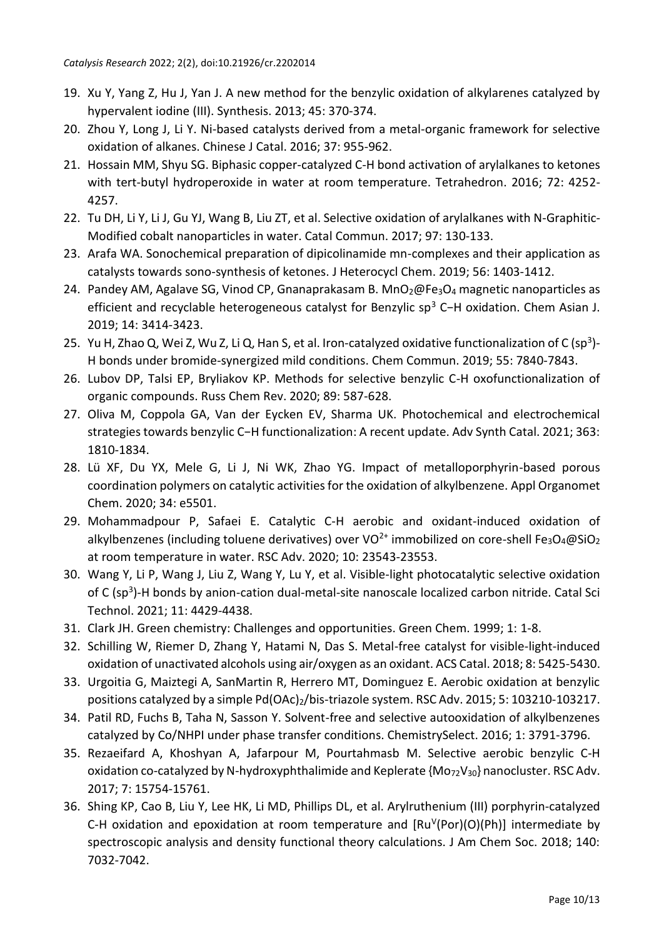- 19. Xu Y, Yang Z, Hu J, Yan J. A new method for the benzylic oxidation of alkylarenes catalyzed by hypervalent iodine (III). Synthesis. 2013; 45: 370-374.
- 20. Zhou Y, Long J, Li Y. Ni-based catalysts derived from a metal-organic framework for selective oxidation of alkanes. Chinese J Catal. 2016; 37: 955-962.
- 21. Hossain MM, Shyu SG. Biphasic copper-catalyzed C-H bond activation of arylalkanes to ketones with tert-butyl hydroperoxide in water at room temperature. Tetrahedron. 2016; 72: 4252- 4257.
- 22. Tu DH, Li Y, Li J, Gu YJ, Wang B, Liu ZT, et al. Selective oxidation of arylalkanes with N-Graphitic-Modified cobalt nanoparticles in water. Catal Commun. 2017; 97: 130-133.
- 23. Arafa WA. Sonochemical preparation of dipicolinamide mn-complexes and their application as catalysts towards sono-synthesis of ketones. J Heterocycl Chem. 2019; 56: 1403-1412.
- 24. Pandey AM, Agalave SG, Vinod CP, Gnanaprakasam B. MnO<sub>2</sub>@Fe<sub>3</sub>O<sub>4</sub> magnetic nanoparticles as efficient and recyclable heterogeneous catalyst for Benzylic sp<sup>3</sup> C−H oxidation. Chem Asian J. 2019; 14: 3414-3423.
- 25. Yu H, Zhao Q, Wei Z, Wu Z, Li Q, Han S, et al. Iron-catalyzed oxidative functionalization of C (sp<sup>3</sup>)-H bonds under bromide-synergized mild conditions. Chem Commun. 2019; 55: 7840-7843.
- 26. Lubov DP, Talsi EP, Bryliakov KP. Methods for selective benzylic C-H oxofunctionalization of organic compounds. Russ Chem Rev. 2020; 89: 587-628.
- 27. Oliva M, Coppola GA, Van der Eycken EV, Sharma UK. Photochemical and electrochemical strategies towards benzylic C−H functionalization: A recent update. Adv Synth Catal. 2021; 363: 1810-1834.
- 28. Lü XF, Du YX, Mele G, Li J, Ni WK, Zhao YG. Impact of metalloporphyrin-based porous coordination polymers on catalytic activities for the oxidation of alkylbenzene. Appl Organomet Chem. 2020; 34: e5501.
- 29. Mohammadpour P, Safaei E. Catalytic C-H aerobic and oxidant-induced oxidation of alkylbenzenes (including toluene derivatives) over VO<sup>2+</sup> immobilized on core-shell Fe<sub>3</sub>O<sub>4</sub>@SiO<sub>2</sub> at room temperature in water. RSC Adv. 2020; 10: 23543-23553.
- 30. Wang Y, Li P, Wang J, Liu Z, Wang Y, Lu Y, et al. Visible-light photocatalytic selective oxidation of C (sp<sup>3</sup>)-H bonds by anion-cation dual-metal-site nanoscale localized carbon nitride. Catal Sci Technol. 2021; 11: 4429-4438.
- 31. Clark JH. Green chemistry: Challenges and opportunities. Green Chem. 1999; 1: 1-8.
- 32. Schilling W, Riemer D, Zhang Y, Hatami N, Das S. Metal-free catalyst for visible-light-induced oxidation of unactivated alcohols using air/oxygen as an oxidant. ACS Catal. 2018; 8: 5425-5430.
- 33. Urgoitia G, Maiztegi A, SanMartin R, Herrero MT, Dominguez E. Aerobic oxidation at benzylic positions catalyzed by a simple Pd(OAc)<sub>2</sub>/bis-triazole system. RSC Adv. 2015; 5: 103210-103217.
- 34. Patil RD, Fuchs B, Taha N, Sasson Y. Solvent-free and selective autooxidation of alkylbenzenes catalyzed by Co/NHPI under phase transfer conditions. ChemistrySelect. 2016; 1: 3791-3796.
- 35. Rezaeifard A, Khoshyan A, Jafarpour M, Pourtahmasb M. Selective aerobic benzylic C-H oxidation co-catalyzed by N-hydroxyphthalimide and Keplerate  ${M_0}$ <sub>72</sub>V<sub>30</sub>} nanocluster. RSC Adv. 2017; 7: 15754-15761.
- 36. Shing KP, Cao B, Liu Y, Lee HK, Li MD, Phillips DL, et al. Arylruthenium (III) porphyrin-catalyzed C-H oxidation and epoxidation at room temperature and  $[Ru^V(Por)(O)(Ph)]$  intermediate by spectroscopic analysis and density functional theory calculations. J Am Chem Soc. 2018; 140: 7032-7042.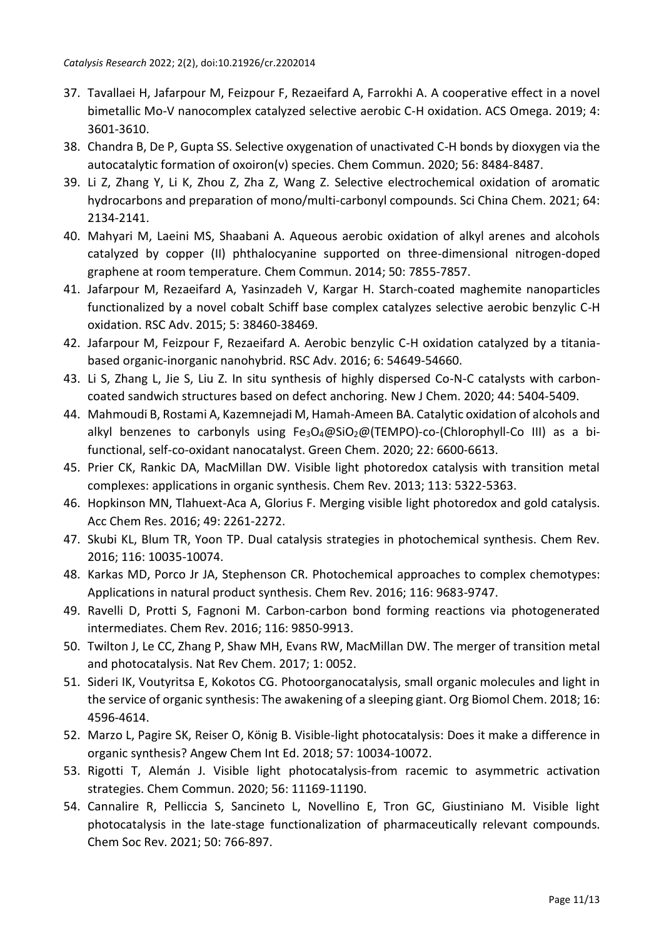- 37. Tavallaei H, Jafarpour M, Feizpour F, Rezaeifard A, Farrokhi A. A cooperative effect in a novel bimetallic Mo-V nanocomplex catalyzed selective aerobic C-H oxidation. ACS Omega. 2019; 4: 3601-3610.
- 38. Chandra B, De P, Gupta SS. Selective oxygenation of unactivated C-H bonds by dioxygen via the autocatalytic formation of oxoiron(v) species. Chem Commun. 2020; 56: 8484-8487.
- 39. Li Z, Zhang Y, Li K, Zhou Z, Zha Z, Wang Z. Selective electrochemical oxidation of aromatic hydrocarbons and preparation of mono/multi-carbonyl compounds. Sci China Chem. 2021; 64: 2134-2141.
- 40. Mahyari M, Laeini MS, Shaabani A. Aqueous aerobic oxidation of alkyl arenes and alcohols catalyzed by copper (II) phthalocyanine supported on three-dimensional nitrogen-doped graphene at room temperature. Chem Commun. 2014; 50: 7855-7857.
- 41. Jafarpour M, Rezaeifard A, Yasinzadeh V, Kargar H. Starch-coated maghemite nanoparticles functionalized by a novel cobalt Schiff base complex catalyzes selective aerobic benzylic C-H oxidation. RSC Adv. 2015; 5: 38460-38469.
- 42. Jafarpour M, Feizpour F, Rezaeifard A. Aerobic benzylic C-H oxidation catalyzed by a titaniabased organic-inorganic nanohybrid. RSC Adv. 2016; 6: 54649-54660.
- 43. Li S, Zhang L, Jie S, Liu Z. In situ synthesis of highly dispersed Co-N-C catalysts with carboncoated sandwich structures based on defect anchoring. New J Chem. 2020; 44: 5404-5409.
- 44. Mahmoudi B, Rostami A, Kazemnejadi M, Hamah-Ameen BA. Catalytic oxidation of alcohols and alkyl benzenes to carbonyls using Fe<sub>3</sub>O<sub>4</sub>@SiO<sub>2</sub>@(TEMPO)-co-(Chlorophyll-Co III) as a bifunctional, self-co-oxidant nanocatalyst. Green Chem. 2020; 22: 6600-6613.
- 45. Prier CK, Rankic DA, MacMillan DW. Visible light photoredox catalysis with transition metal complexes: applications in organic synthesis. Chem Rev. 2013; 113: 5322-5363.
- 46. Hopkinson MN, Tlahuext-Aca A, Glorius F. Merging visible light photoredox and gold catalysis. Acc Chem Res. 2016; 49: 2261-2272.
- 47. Skubi KL, Blum TR, Yoon TP. Dual catalysis strategies in photochemical synthesis. Chem Rev. 2016; 116: 10035-10074.
- 48. Karkas MD, Porco Jr JA, Stephenson CR. Photochemical approaches to complex chemotypes: Applications in natural product synthesis. Chem Rev. 2016; 116: 9683-9747.
- 49. Ravelli D, Protti S, Fagnoni M. Carbon-carbon bond forming reactions via photogenerated intermediates. Chem Rev. 2016; 116: 9850-9913.
- 50. Twilton J, Le CC, Zhang P, Shaw MH, Evans RW, MacMillan DW. The merger of transition metal and photocatalysis. Nat Rev Chem. 2017; 1: 0052.
- 51. Sideri IK, Voutyritsa E, Kokotos CG. Photoorganocatalysis, small organic molecules and light in the service of organic synthesis: The awakening of a sleeping giant. Org Biomol Chem. 2018; 16: 4596-4614.
- 52. Marzo L, Pagire SK, Reiser O, König B. Visible-light photocatalysis: Does it make a difference in organic synthesis? Angew Chem Int Ed. 2018; 57: 10034-10072.
- 53. Rigotti T, Alemán J. Visible light photocatalysis-from racemic to asymmetric activation strategies. Chem Commun. 2020; 56: 11169-11190.
- 54. Cannalire R, Pelliccia S, Sancineto L, Novellino E, Tron GC, Giustiniano M. Visible light photocatalysis in the late-stage functionalization of pharmaceutically relevant compounds. Chem Soc Rev. 2021; 50: 766-897.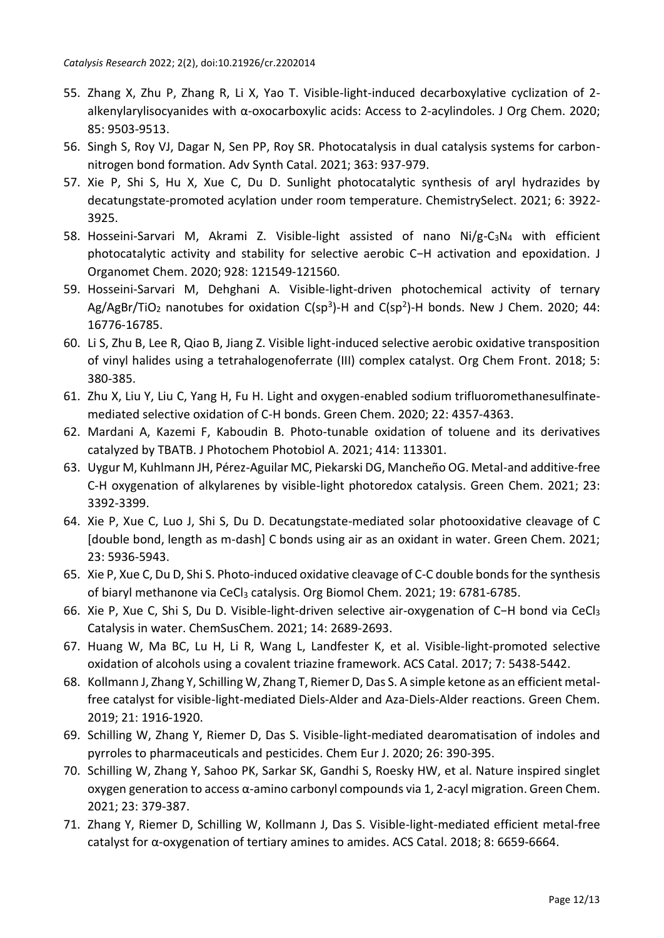- 55. Zhang X, Zhu P, Zhang R, Li X, Yao T. Visible-light-induced decarboxylative cyclization of 2 alkenylarylisocyanides with α-oxocarboxylic acids: Access to 2-acylindoles. J Org Chem. 2020; 85: 9503-9513.
- 56. Singh S, Roy VJ, Dagar N, Sen PP, Roy SR. Photocatalysis in dual catalysis systems for carbonnitrogen bond formation. Adv Synth Catal. 2021; 363: 937-979.
- 57. Xie P, Shi S, Hu X, Xue C, Du D. Sunlight photocatalytic synthesis of aryl hydrazides by decatungstate-promoted acylation under room temperature. ChemistrySelect. 2021; 6: 3922- 3925.
- 58. Hosseini-Sarvari M, Akrami Z. Visible-light assisted of nano Ni/g-C<sub>3</sub>N<sub>4</sub> with efficient photocatalytic activity and stability for selective aerobic C−H activation and epoxidation. J Organomet Chem. 2020; 928: 121549-121560.
- 59. Hosseini-Sarvari M, Dehghani A. Visible-light-driven photochemical activity of ternary Ag/AgBr/TiO<sub>2</sub> nanotubes for oxidation C(sp<sup>3</sup>)-H and C(sp<sup>2</sup>)-H bonds. New J Chem. 2020; 44: 16776-16785.
- 60. Li S, Zhu B, Lee R, Qiao B, Jiang Z. Visible light-induced selective aerobic oxidative transposition of vinyl halides using a tetrahalogenoferrate (III) complex catalyst. Org Chem Front. 2018; 5: 380-385.
- 61. Zhu X, Liu Y, Liu C, Yang H, Fu H. Light and oxygen-enabled sodium trifluoromethanesulfinatemediated selective oxidation of C-H bonds. Green Chem. 2020; 22: 4357-4363.
- 62. Mardani A, Kazemi F, Kaboudin B. Photo-tunable oxidation of toluene and its derivatives catalyzed by TBATB. J Photochem Photobiol A. 2021; 414: 113301.
- 63. Uygur M, Kuhlmann JH, Pérez-Aguilar MC, Piekarski DG, Mancheño OG. Metal-and additive-free C-H oxygenation of alkylarenes by visible-light photoredox catalysis. Green Chem. 2021; 23: 3392-3399.
- 64. Xie P, Xue C, Luo J, Shi S, Du D. Decatungstate-mediated solar photooxidative cleavage of C [double bond, length as m-dash] C bonds using air as an oxidant in water. Green Chem. 2021; 23: 5936-5943.
- 65. Xie P, Xue C, Du D, Shi S. Photo-induced oxidative cleavage of C-C double bonds for the synthesis of biaryl methanone via CeCl<sup>3</sup> catalysis. Org Biomol Chem. 2021; 19: 6781-6785.
- 66. Xie P, Xue C, Shi S, Du D. Visible-light-driven selective air-oxygenation of C−H bond via CeCl<sup>3</sup> Catalysis in water. ChemSusChem. 2021; 14: 2689-2693.
- 67. Huang W, Ma BC, Lu H, Li R, Wang L, Landfester K, et al. Visible-light-promoted selective oxidation of alcohols using a covalent triazine framework. ACS Catal. 2017; 7: 5438-5442.
- 68. Kollmann J, Zhang Y, Schilling W, Zhang T, Riemer D, Das S. A simple ketone as an efficient metalfree catalyst for visible-light-mediated Diels-Alder and Aza-Diels-Alder reactions. Green Chem. 2019; 21: 1916-1920.
- 69. Schilling W, Zhang Y, Riemer D, Das S. Visible-light-mediated dearomatisation of indoles and pyrroles to pharmaceuticals and pesticides. Chem Eur J. 2020; 26: 390-395.
- 70. Schilling W, Zhang Y, Sahoo PK, Sarkar SK, Gandhi S, Roesky HW, et al. Nature inspired singlet oxygen generation to access α-amino carbonyl compounds via 1, 2-acyl migration. Green Chem. 2021; 23: 379-387.
- 71. Zhang Y, Riemer D, Schilling W, Kollmann J, Das S. Visible-light-mediated efficient metal-free catalyst for α-oxygenation of tertiary amines to amides. ACS Catal. 2018; 8: 6659-6664.